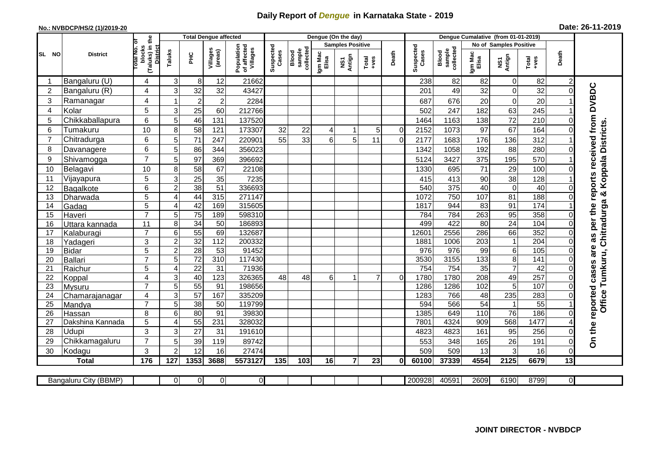## **Daily Report of** *Dengue* **in Karnataka State - 2019**

## **No.: NVBDCP/HS/2 (1)/2019-20 Date: 26-11-2019**

|                | <b>District</b>            |                                                             | <b>Total Dengue affected</b> |                       |                     |                                       |                    |                              |                  | Dengue (On the day)     |                |             |                    |                                     |                               |                 |                  |                |                                        |
|----------------|----------------------------|-------------------------------------------------------------|------------------------------|-----------------------|---------------------|---------------------------------------|--------------------|------------------------------|------------------|-------------------------|----------------|-------------|--------------------|-------------------------------------|-------------------------------|-----------------|------------------|----------------|----------------------------------------|
|                |                            |                                                             |                              |                       |                     |                                       |                    |                              |                  | <b>Samples Positive</b> |                |             |                    |                                     | <b>No of Samples Positive</b> |                 |                  |                |                                        |
| SL NO          |                            | (Taluks) in the<br>otal No. of<br>blocks<br><b>District</b> | Taluks                       | 꾿                     | Villages<br>(areas) | Population<br>of affected<br>Villages | Suspected<br>Cases | sample<br>collected<br>Blood | Igm Mac<br>Elisa | NS1<br>Antign           | $Totael$       | Death       | Suspected<br>Cases | collected<br><b>Blood</b><br>sample | Igm Mac<br>Elisa              | NS1<br>Antign   | $Tota$<br>$+ves$ | Death          |                                        |
|                | Bangaluru (U)              | 4                                                           | 3                            | 8                     | 12                  | 21662                                 |                    |                              |                  |                         |                |             | 238                | 82                                  | 82                            | $\mathbf 0$     | 82               | 2              |                                        |
| $\overline{2}$ | Bangaluru (R)              | 4                                                           | 3                            | 32                    | 32                  | 43427                                 |                    |                              |                  |                         |                |             | 201                | 49                                  | 32                            | $\mathbf 0$     | 32               |                |                                        |
| 3              | Ramanagar                  | 4                                                           |                              | $\overline{2}$        | $\overline{c}$      | 2284                                  |                    |                              |                  |                         |                |             | 687                | 676                                 | 20                            | $\mathbf 0$     | 20               |                | as per the reports received from DVBDC |
| $\overline{4}$ | Kolar                      | 5                                                           | 3                            | 25                    | 60                  | 212766                                |                    |                              |                  |                         |                |             | 502                | 247                                 | 182                           | 63              | 245              |                |                                        |
| 5              | Chikkaballapura            | $6\phantom{1}$                                              | 5                            | 46                    | 131                 | 137520                                |                    |                              |                  |                         |                |             | 1464               | 1163                                | 138                           | 72              | 210              | $\Omega$       |                                        |
| 6              | Tumakuru                   | 10                                                          | 8                            | 58                    | 121                 | 173307                                | 32                 | 22                           | 4                | 1                       | 5              | $\mathbf 0$ | 2152               | 1073                                | 97                            | 67              | 164              | $\Omega$       |                                        |
| $\overline{7}$ | Chitradurga                | 6                                                           | 5                            | $\overline{71}$       | 247                 | 220901                                | 55                 | 33                           | 6 <sup>1</sup>   | 5                       | 11             | $\Omega$    | 2177               | 1683                                | 176                           | 136             | 312              |                |                                        |
| 8              | Davanagere                 | 6                                                           | 5                            | 86                    | 344                 | 356023                                |                    |                              |                  |                         |                |             | 1342               | 1058                                | 192                           | 88              | 280              | $\Omega$       | & Koppala Districts                    |
| 9              | Shivamogga                 | $\overline{7}$                                              | 5                            | 97                    | 369                 | 396692                                |                    |                              |                  |                         |                |             | 5124               | 3427                                | 375                           | 195             | 570              |                |                                        |
| 10             | Belagavi                   | 10                                                          | 8                            | 58                    | 67                  | 22108                                 |                    |                              |                  |                         |                |             | 1330               | 695                                 | 71                            | $\overline{29}$ | 100              | 0              |                                        |
| 11             | Vijayapura                 | 5                                                           | 3                            | 25                    | 35                  | 7235                                  |                    |                              |                  |                         |                |             | 415                | 413                                 | 90                            | 38              | 128              |                |                                        |
| 12             | Bagalkote                  | 6                                                           | $\overline{2}$               | 38                    | 51                  | 336693                                |                    |                              |                  |                         |                |             | 540                | $\overline{375}$                    | $\overline{40}$               | $\overline{0}$  | 40               | $\Omega$       |                                        |
| 13             | Dharwada                   | 5                                                           | $\overline{4}$               | 44                    | 315                 | 271147                                |                    |                              |                  |                         |                |             | 1072               | 750                                 | 107                           | 81              | 188              |                |                                        |
| 14             | Gadag                      | $\overline{5}$                                              | 4                            | 42                    | 169                 | 315605                                |                    |                              |                  |                         |                |             | 1817               | 944                                 | $\overline{83}$               | 91              | 174              |                | Chitradurga                            |
| 15             | Haveri                     | $\overline{7}$                                              | 5                            | 75                    | 189                 | 598310                                |                    |                              |                  |                         |                |             | 784                | 784                                 | 263                           | 95              | 358              | $\Omega$       |                                        |
| 16             | Uttara kannada             | 11                                                          | 8                            | $\overline{34}$       | $\overline{50}$     | 186893                                |                    |                              |                  |                         |                |             | 499                | 422                                 | 80                            | 24              | 104              | $\Omega$       |                                        |
| 17             | Kalaburagi                 | $\overline{7}$                                              | 6                            | $\overline{55}$       | 69                  | 132687                                |                    |                              |                  |                         |                |             | 12601              | 2556                                | 286                           | 66              | 352              | $\Omega$       |                                        |
| 18             | Yadageri                   | 3                                                           | $\overline{2}$               | 32                    | 112                 | 200332                                |                    |                              |                  |                         |                |             | 1881               | 1006                                | 203                           | $\mathbf{1}$    | 204              | $\Omega$       |                                        |
| 19             | Bidar                      | 5                                                           | $\overline{2}$               | 28                    | 53                  | 91452                                 |                    |                              |                  |                         |                |             | 976                | 976                                 | 99                            | 6               | 105              | 0              | are                                    |
| 20             | Ballari                    | $\overline{7}$                                              | 5                            | $\overline{72}$       | $\overline{310}$    | 117430                                |                    |                              |                  |                         |                |             | 3530               | 3155                                | $\frac{1}{133}$               | $\overline{8}$  | 141              |                |                                        |
| 21             | Raichur                    | 5                                                           | 4                            | 22                    | 31                  | 71936                                 |                    |                              |                  |                         |                |             | 754                | 754                                 | 35                            | $\overline{7}$  | $\overline{42}$  | $\Omega$       | Tumkuru,                               |
| 22             | Koppal                     | 4                                                           | 3                            | 40                    | 123                 | 326365                                | 48                 | 48                           | 6                |                         | $\overline{7}$ | $\Omega$    | 1780               | 1780                                | 208                           | 49              | 257              | $\Omega$       |                                        |
| 23             | Mysuru                     | $\overline{7}$                                              | 5                            | 55                    | 91                  | 198656                                |                    |                              |                  |                         |                |             | 1286               | 1286                                | 102                           | $\overline{5}$  | 107              | $\mathbf 0$    |                                        |
| 24             | Chamarajanagar             | $\overline{4}$                                              | 3                            | 57                    | 167                 | 335209                                |                    |                              |                  |                         |                |             | 1283               | 766                                 | 48                            | 235             | 283              | $\Omega$       |                                        |
| 25             | Mandya                     | $\overline{7}$                                              | $\overline{5}$               | 38                    | $\overline{50}$     | 119799                                |                    |                              |                  |                         |                |             | 594                | 566                                 | 54                            | $\overline{1}$  | 55               |                | Office <sup>-</sup>                    |
| 26             | Hassan<br>Dakshina Kannada | 8<br>5                                                      | $6\phantom{1}6$<br>4         | 80<br>$\overline{55}$ | 91<br>231           | 39830<br>328032                       |                    |                              |                  |                         |                |             | 1385<br>7801       | 649<br>4324                         | 110<br>909                    | 76<br>568       | 186<br>1477      | $\Omega$       |                                        |
| 27             |                            |                                                             |                              |                       |                     |                                       |                    |                              |                  |                         |                |             |                    |                                     |                               |                 |                  |                |                                        |
| 28<br>29       | <b>Udupi</b>               | 3<br>$\overline{7}$                                         | 3                            | 27<br>39              | 31                  | 191610                                |                    |                              |                  |                         |                |             | 4823               | 4823<br>348                         | 161                           | 95<br>26        | 256<br>191       | 0              | On the reported cases                  |
| 30             | Chikkamagaluru             | 3                                                           | 5<br>$\overline{2}$          | 12                    | 119<br>16           | 89742<br>27474                        |                    |                              |                  |                         |                |             | 553<br>509         | 509                                 | 165<br>13                     | 3               | 16               | $\Omega$       |                                        |
|                | Kodagu<br><b>Total</b>     | 176                                                         | 127                          | 1353                  | 3688                | 5573127                               | 135                | 103                          | 16               | $\overline{7}$          | 23             | 0I          | 60100              | 37339                               | 4554                          | 2125            | 6679             | 13             |                                        |
|                |                            |                                                             |                              |                       |                     |                                       |                    |                              |                  |                         |                |             |                    |                                     |                               |                 |                  |                |                                        |
|                | Bangaluru City (BBMP)      |                                                             | $\overline{0}$               | $\overline{0}$        | $\overline{0}$      | $\overline{0}$                        |                    |                              |                  |                         |                |             | 200928             | 40591                               | 2609                          | 6190            | 8799             | $\overline{O}$ |                                        |